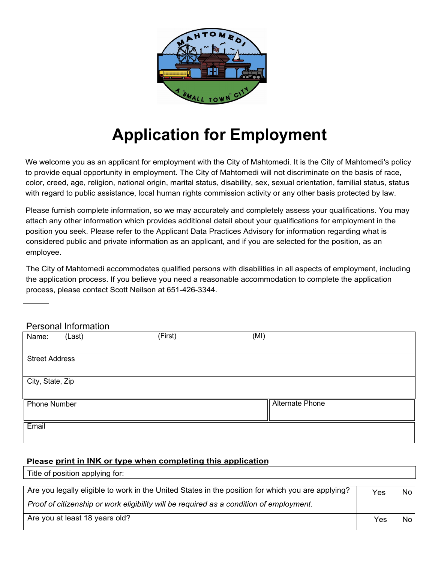

## **Application for Employment**

We welcome you as an applicant for employment with the City of Mahtomedi. It is the City of Mahtomedi's policy to provide equal opportunity in employment. The City of Mahtomedi will not discriminate on the basis of race, color, creed, age, religion, national origin, marital status, disability, sex, sexual orientation, familial status, status with regard to public assistance, local human rights commission activity or any other basis protected by law.

Please furnish complete information, so we may accurately and completely assess your qualifications. You may attach any other information which provides additional detail about your qualifications for employment in the position you seek. Please refer to the Applicant Data Practices Advisory for information regarding what is considered public and private information as an applicant, and if you are selected for the position, as an employee.

The City of Mahtomedi accommodates qualified persons with disabilities in all aspects of employment, including the application process. If you believe you need a reasonable accommodation to complete the application process, please contact Scott Neilson at 651-426-3344.

### Personal Information

Title of position applying for:

| Name:            | (Last)                | (First) | (MI)                   |  |  |
|------------------|-----------------------|---------|------------------------|--|--|
|                  | <b>Street Address</b> |         |                        |  |  |
| City, State, Zip |                       |         |                        |  |  |
| Phone Number     |                       |         | <b>Alternate Phone</b> |  |  |
| Email            |                       |         |                        |  |  |

#### **Please print in INK or type when completing this application**

| Are you legally eligible to work in the United States in the position for which you are applying? | Yes | No l |
|---------------------------------------------------------------------------------------------------|-----|------|
| Proof of citizenship or work eligibility will be required as a condition of employment.           |     |      |
| Are you at least 18 years old?                                                                    | Yes | No l |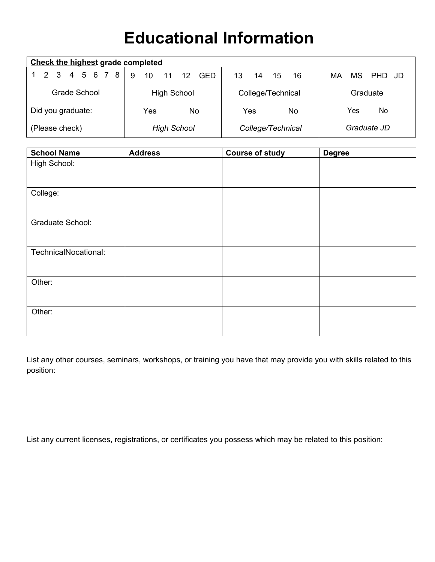### **Educational Information**

| <b>Check the highest grade completed</b> |                                 |                       |                     |  |
|------------------------------------------|---------------------------------|-----------------------|---------------------|--|
| 2 3 4 5 6 7 8                            | $11 \quad 12$<br>9<br>10<br>GED | 13<br>-16<br>15<br>14 | MS.<br>PHD JD<br>МA |  |
| Grade School                             | <b>High School</b>              | College/Technical     | Graduate            |  |
| Did you graduate:                        | Yes<br>No                       | Yes<br>No             | Yes<br>No           |  |
| (Please check)                           | <b>High School</b>              | College/Technical     | Graduate JD         |  |

| <b>School Name</b>   | <b>Address</b> | <b>Course of study</b> | <b>Degree</b> |
|----------------------|----------------|------------------------|---------------|
| High School:         |                |                        |               |
|                      |                |                        |               |
|                      |                |                        |               |
| College:             |                |                        |               |
|                      |                |                        |               |
|                      |                |                        |               |
| Graduate School:     |                |                        |               |
|                      |                |                        |               |
| TechnicalNocational: |                |                        |               |
|                      |                |                        |               |
|                      |                |                        |               |
| Other:               |                |                        |               |
|                      |                |                        |               |
|                      |                |                        |               |
| Other:               |                |                        |               |
|                      |                |                        |               |
|                      |                |                        |               |

List any other courses, seminars, workshops, or training you have that may provide you with skills related to this position:

List any current licenses, registrations, or certificates you possess which may be related to this position: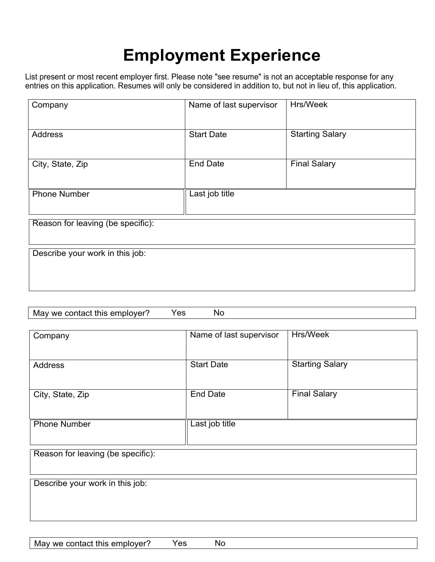### **Employment Experience**

List present or most recent employer first. Please note "see resume" is not an acceptable response for any entries on this application. Resumes will only be considered in addition to, but not in lieu of, this application.

| Company                           | Hrs/Week<br>Name of last supervisor    |                        |
|-----------------------------------|----------------------------------------|------------------------|
| <b>Address</b>                    | <b>Start Date</b>                      | <b>Starting Salary</b> |
| City, State, Zip                  | <b>Final Salary</b><br><b>End Date</b> |                        |
| <b>Phone Number</b>               | Last job title                         |                        |
| Reason for leaving (be specific): |                                        |                        |
| Describe your work in this job:   |                                        |                        |

| วver<br>- M21<br>we.<br>mis<br>contac<br>או<br>emr<br>.<br>$\sim$<br>___ | uc | $\sim$ |  |  |
|--------------------------------------------------------------------------|----|--------|--|--|
|                                                                          |    |        |  |  |

| Company                           | Hrs/Week<br>Name of last supervisor |                        |
|-----------------------------------|-------------------------------------|------------------------|
| <b>Address</b>                    | <b>Start Date</b>                   | <b>Starting Salary</b> |
| City, State, Zip                  | <b>End Date</b>                     | <b>Final Salary</b>    |
| <b>Phone Number</b>               | Last job title                      |                        |
| Reason for leaving (be specific): |                                     |                        |
| Describe your work in this job:   |                                     |                        |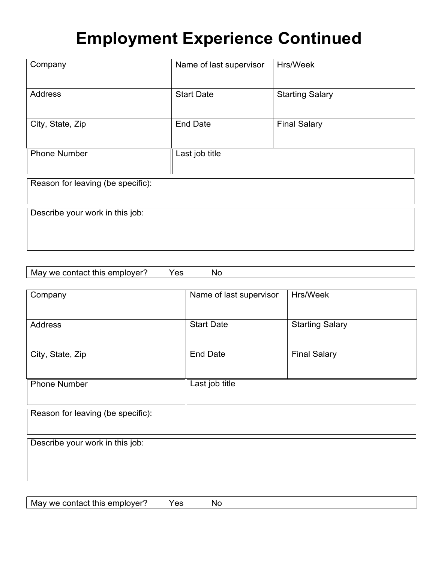### **Employment Experience Continued**

| Company                           | Name of last supervisor | Hrs/Week               |
|-----------------------------------|-------------------------|------------------------|
| Address                           | <b>Start Date</b>       | <b>Starting Salary</b> |
| City, State, Zip                  | <b>End Date</b>         | <b>Final Salary</b>    |
|                                   |                         |                        |
| <b>Phone Number</b>               | Last job title          |                        |
| Reason for leaving (be specific): |                         |                        |
| Describe your work in this job:   |                         |                        |
|                                   |                         |                        |
|                                   |                         |                        |

| IV.<br><b>We</b><br>$\cdot$ M $^{\prime}$ |        | IXI. |  |
|-------------------------------------------|--------|------|--|
| $\sim$<br>___<br>___                      | $\sim$ | . .  |  |
|                                           |        |      |  |

| Company                           | Name of last supervisor | Hrs/Week               |
|-----------------------------------|-------------------------|------------------------|
| Address                           | <b>Start Date</b>       | <b>Starting Salary</b> |
|                                   |                         |                        |
| City, State, Zip                  | <b>End Date</b>         | <b>Final Salary</b>    |
| <b>Phone Number</b>               | Last job title          |                        |
|                                   |                         |                        |
| Reason for leaving (be specific): |                         |                        |
|                                   |                         |                        |
| Describe your work in this job:   |                         |                        |
|                                   |                         |                        |

May we contact this employer? Yes No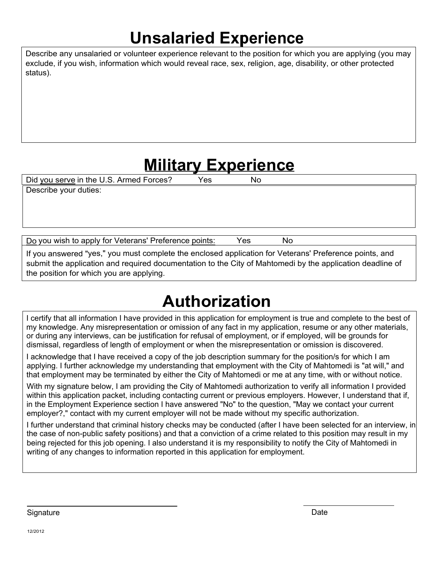### **Unsalaried Experience**

Describe any unsalaried or volunteer experience relevant to the position for which you are applying (you may exclude, if you wish, information which would reveal race, sex, religion, age, disability, or other protected status).

### **Military Experience**

Did you serve in the U.S. Armed Forces? Yes No

Describe your duties:

Do you wish to apply for Veterans' Preference points: Yes No

If you answered "yes," you must complete the enclosed application for Veterans' Preference points, and submit the application and required documentation to the City of Mahtomedi by the application deadline of the position for which you are applying.

# **Authorization**

I certify that all information I have provided in this application for employment is true and complete to the best of my knowledge. Any misrepresentation or omission of any fact in my application, resume or any other materials, or during any interviews, can be justification for refusal of employment, or if employed, will be grounds for dismissal, regardless of length of employment or when the misrepresentation or omission is discovered.

I acknowledge that I have received a copy of the job description summary for the position/s for which I am applying. I further acknowledge my understanding that employment with the City of Mahtomedi is "at will," and that employment may be terminated by either the City of Mahtomedi or me at any time, with or without notice.

With my signature below, I am providing the City of Mahtomedi authorization to verify all information I provided within this application packet, including contacting current or previous employers. However, I understand that if, in the Employment Experience section I have answered "No" to the question, "May we contact your current employer?," contact with my current employer will not be made without my specific authorization.

I further understand that criminal history checks may be conducted (after I have been selected for an interview, in the case of non-public safety positions) and that a conviction of a crime related to this position may result in my being rejected for this job opening. I also understand it is my responsibility to notify the City of Mahtomedi in writing of any changes to information reported in this application for employment.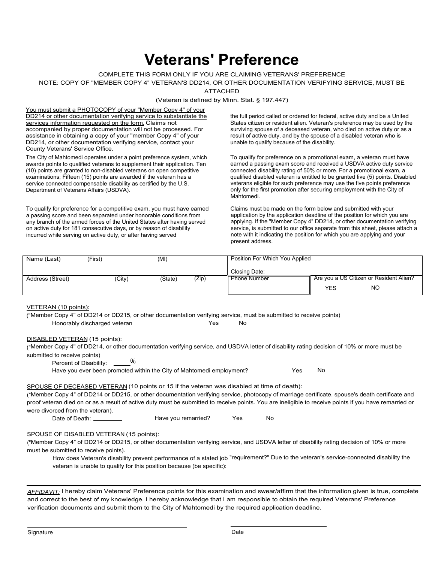### **Veterans' Preference**

#### COMPLETE THIS FORM ONLY IF YOU ARE CLAIMING VETERANS' PREFERENCE

#### NOTE: COPY OF "MEMBER COPY 4" VETERAN'S DD214, OR OTHER DOCUMENTATION VERIFYING SERVICE, MUST BE

ATTACHED

(Veteran is defined by Minn. Stat. § 197.447)

You must submit a PHOTOCOPY of your "Member Copy 4" of your DD214 or other documentation verifying service to substantiate the tull period called or ordered for federal, active duty and be a United services information requested on the form. Claims not accompanied by proper documentation will not be processed. For assistance in obtaining a copy of your "member Copy 4" of your DD214, or other documentation verifying service, contact your County Veterans' Service Office.

The City of Mahtomedi operates under a point preference system, which awards points to qualified veterans to supplement their application. Ten (10) points are granted to non-disabled veterans on open competitive examinations; Fifteen (15) points are awarded if the veteran has a service connected compensable disability as certified by the U.S. Department of Veterans Affairs (USDVA).

To qualify for preference for a competitive exam, you must have earned a passing score and been separated under honorable conditions from any branch of the armed forces of the United States after having served on active duty for 181 consecutive days, or by reason of disability incurred while serving on active duty, or after having served

States citizen or resident alien. Veteran's preference may be used by the surviving spouse of a deceased veteran, who died on active duty or as a result of active duty, and by the spouse of a disabled veteran who is unable to qualify because of the disability.

To qualify for preference on a promotional exam, a veteran must have earned a passing exam score and received a USDVA active duty service connected disability rating of 50% or more. For a promotional exam, a qualified disabled veteran is entitled to be granted five (5) points. Disabled veterans eligible for such preference may use the five points preference only for the first promotion after securing employment with the City of Mahtomedi.

Claims must be made on the form below and submitted with your application by the application deadline of the position for which you are applying. If the "Member Copy 4" DD214, or other documentation verifying service, is submitted to our office separate from this sheet, please attach a note with it indicating the position for which you are applying and your present address.

| Name (Last)      | (First) | (MI)    |       | Position For Which You Applied |                                         |           |
|------------------|---------|---------|-------|--------------------------------|-----------------------------------------|-----------|
|                  |         |         |       | Closing Date:                  |                                         |           |
| Address (Street) | (City)  | (State) | (Zip) | <b>Phone Number</b>            | Are you a US Citizen or Resident Alien? |           |
|                  |         |         |       |                                | YES                                     | <b>NO</b> |

#### VETERAN (10 points):

("Member Copy 4" of DD214 or DD215, or other documentation verifying service, must be submitted to receive points) Honorably discharged veteran Theorem No Yes No

#### DISABLED VETERAN (15 points):

("Member Copy 4" of DD214, or other documentation verifying service, and USDVA letter of disability rating decision of 10% or more must be submitted to receive points)

Percent of Disability:  $\frac{0}{0}$ 

Have you ever been promoted within the City of Mahtomedi employment? Yes No

#### SPOUSE OF DECEASED VETERAN (10 points or 15 if the veteran was disabled at time of death):

("Member Copy 4" of DD214 or DD215, or other documentation verifying service, photocopy of marriage certificate, spouse's death certificate and proof veteran died on or as a result of active duty must be submitted to receive points. You are ineligible to receive points if you have remarried or were divorced from the veteran).

Date of Death: Have you remarried? Yes No

### SPOUSE OF DISABLED VETERAN (15 points):

("Member Copy 4" of DD214 or DD215, or other documentation verifying service, and USDVA letter of disability rating decision of 10% or more must be submitted to receive points).

How does Veteran's disability prevent performance of a stated job "requirement?" Due to the veteran's service-connected disability the veteran is unable to qualify for this position because (be specific):

*AFFIDAVIT:* I hereby claim Veterans' Preference points for this examination and swear/affirm that the information given is true, complete and correct to the best of my knowledge. I hereby acknowledge that I am responsible to obtain the required Veterans' Preference verification documents and submit them to the City of Mahtomedi by the required application deadline.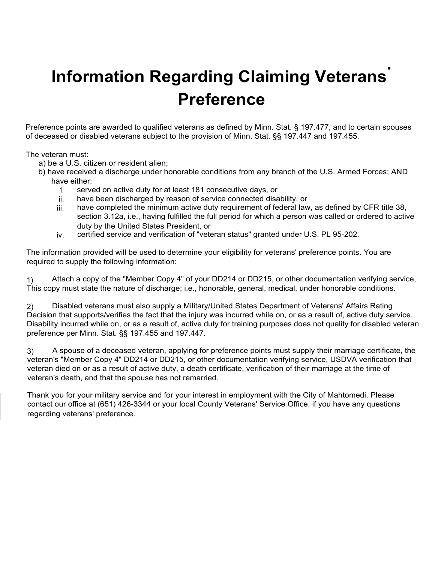### **Information Regarding Claiming Veterans' Preference**

Preference points are awarded to qualified veterans as defined by Minn. Stat. § 197.477, and to certain spouses of deceased or disabled veterans subject to the provision of Minn. Stat. §§ 197.447 and 197.455.

The veteran must:

- a) be a U.S. citizen or resident alien;
- b) have received a discharge under honorable conditions from any branch of the U.S. Armed Forces; AND have either:
	- 1. served on active duty for at least 181 consecutive days, or
	- ii. have been discharged by reason of service connected disability, or
	- iii. have completed the minimum active duty requirement of federal law, as defined by CFR title 38, section 3.12a, i.e., having fulfilled the full period for which a person was called or ordered to active duty by the United States President, or
	- iv. certified service and verification of "veteran status" granted under U.S. PL 95-202.

The information provided will be used to determine your eligibility for veterans' preference points. You are required to supply the following information:

1) Attach a copy of the "Member Copy 4" of your DD214 or DD215, or other documentation verifying service, This copy must state the nature of discharge; i.e., honorable, general, medical, under honorable conditions.

2) Decision that supports/verifies the fact that the injury was incurred while on, or as a result of, active duty service. Disability incurred while on, or as a result of, active duty for training purposes does not quality for disabled veteran preference per Minn. Stat. §§ 197.455 and 197.447. Disabled veterans must also supply a Military/United States Department of Veterans' Affairs Rating

3) A spouse of a deceased veteran, applying for preference points must supply their marriage certificate, the veteran's "Member Copy 4" DD214 or DD215, or other documentation verifying service, USDVA verification that veteran died on or as a result of active duty, a death certificate, verification of their marriage at the time of veteran's death, and that the spouse has not remarried.

Thank you for your military service and for your interest in employment with the City of Mahtomedi. Please contact our office at (651) 426-3344 or your local County Veterans' Service Office, if you have any questions regarding veterans' preference.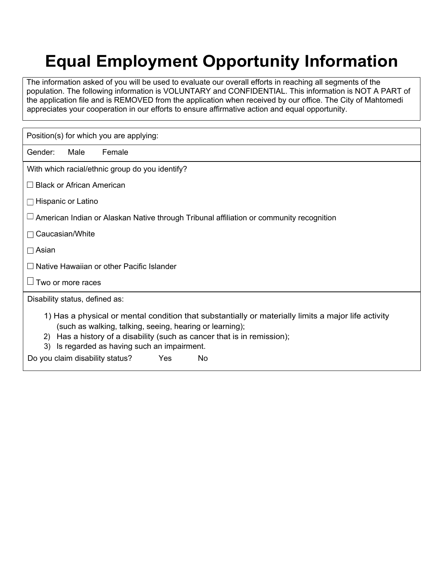## **Equal Employment Opportunity Information**

The information asked of you will be used to evaluate our overall efforts in reaching all segments of the population. The following information is VOLUNTARY and CONFIDENTIAL. This information is NOT A PART of the application file and is REMOVED from the application when received by our office. The City of Mahtomedi appreciates your cooperation in our efforts to ensure affirmative action and equal opportunity.

| Position(s) for which you are applying:                                                                                                                                                                                                                                                                                                                 |
|---------------------------------------------------------------------------------------------------------------------------------------------------------------------------------------------------------------------------------------------------------------------------------------------------------------------------------------------------------|
| Gender:<br>Male<br>Female                                                                                                                                                                                                                                                                                                                               |
| With which racial/ethnic group do you identify?                                                                                                                                                                                                                                                                                                         |
| $\Box$ Black or African American                                                                                                                                                                                                                                                                                                                        |
| $\Box$ Hispanic or Latino                                                                                                                                                                                                                                                                                                                               |
| $\Box$ American Indian or Alaskan Native through Tribunal affiliation or community recognition                                                                                                                                                                                                                                                          |
| $\Box$ Caucasian/White                                                                                                                                                                                                                                                                                                                                  |
| $\Box$ Asian                                                                                                                                                                                                                                                                                                                                            |
| $\Box$ Native Hawaiian or other Pacific Islander                                                                                                                                                                                                                                                                                                        |
| $\Box$ Two or more races                                                                                                                                                                                                                                                                                                                                |
| Disability status, defined as:                                                                                                                                                                                                                                                                                                                          |
| 1) Has a physical or mental condition that substantially or materially limits a major life activity<br>(such as walking, talking, seeing, hearing or learning);<br>Has a history of a disability (such as cancer that is in remission);<br>2)<br>Is regarded as having such an impairment.<br>3)<br>Do you claim disability status?<br>No<br><b>Yes</b> |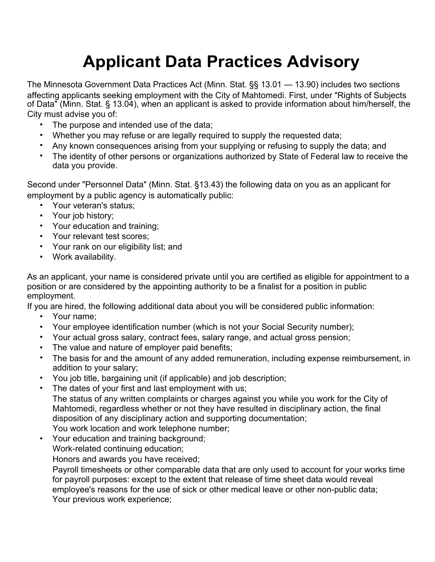# **Applicant Data Practices Advisory**

The Minnesota Government Data Practices Act (Minn. Stat. §§ 13.01 — 13.90) includes two sections affecting applicants seeking employment with the City of Mahtomedi. First, under "Rights of Subjects of Data" (Minn. Stat. § 13.04), when an applicant is asked to provide information about him/herself, the City must advise you of:

- The purpose and intended use of the data;
- Whether you may refuse or are legally required to supply the requested data;
- Any known consequences arising from your supplying or refusing to supply the data; and
- The identity of other persons or organizations authorized by State of Federal law to receive the data you provide.

Second under "Personnel Data" (Minn. Stat. §13.43) the following data on you as an applicant for employment by a public agency is automatically public:

- Your veteran's status;
- Your job history;
- Your education and training;
- Your relevant test scores;
- Your rank on our eligibility list; and
- Work availability.

As an applicant, your name is considered private until you are certified as eligible for appointment to a position or are considered by the appointing authority to be a finalist for a position in public employment.

If you are hired, the following additional data about you will be considered public information:

- Your name;
- Your employee identification number (which is not your Social Security number);
- Your actual gross salary, contract fees, salary range, and actual gross pension;
- The value and nature of employer paid benefits:
- The basis for and the amount of any added remuneration, including expense reimbursement, in addition to your salary;
- You job title, bargaining unit (if applicable) and job description;
- The dates of your first and last employment with us; The status of any written complaints or charges against you while you work for the City of Mahtomedi, regardless whether or not they have resulted in disciplinary action, the final disposition of any disciplinary action and supporting documentation;

You work location and work telephone number;

• Your education and training background; Work-related continuing education;

Honors and awards you have received;

Payroll timesheets or other comparable data that are only used to account for your works time for payroll purposes: except to the extent that release of time sheet data would reveal employee's reasons for the use of sick or other medical leave or other non-public data; Your previous work experience;